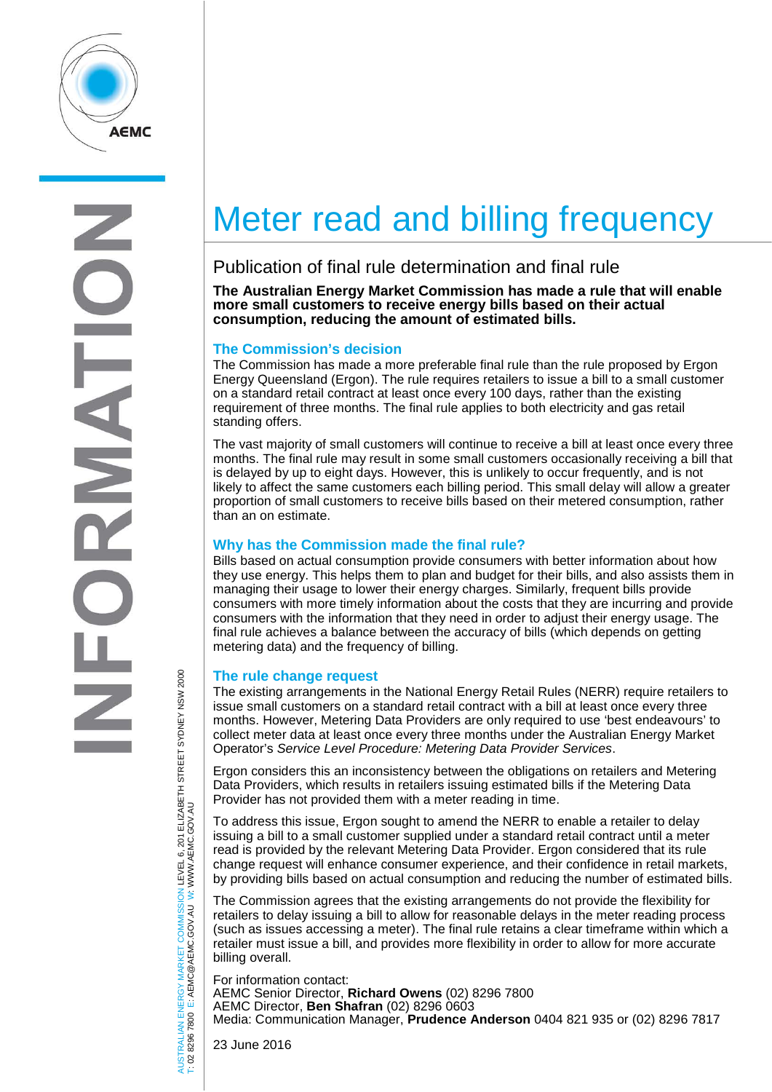

# Meter read and billing frequency

## Publication of final rule determination and final rule

**The Australian Energy Market Commission has made a rule that will enable more small customers to receive energy bills based on their actual consumption, reducing the amount of estimated bills.**

### **The Commission's decision**

The Commission has made a more preferable final rule than the rule proposed by Ergon Energy Queensland (Ergon). The rule requires retailers to issue a bill to a small customer on a standard retail contract at least once every 100 days, rather than the existing requirement of three months. The final rule applies to both electricity and gas retail standing offers.

The vast majority of small customers will continue to receive a bill at least once every three months. The final rule may result in some small customers occasionally receiving a bill that is delayed by up to eight days. However, this is unlikely to occur frequently, and is not likely to affect the same customers each billing period. This small delay will allow a greater proportion of small customers to receive bills based on their metered consumption, rather than an on estimate.

#### **Why has the Commission made the final rule?**

Bills based on actual consumption provide consumers with better information about how they use energy. This helps them to plan and budget for their bills, and also assists them in managing their usage to lower their energy charges. Similarly, frequent bills provide consumers with more timely information about the costs that they are incurring and provide consumers with the information that they need in order to adjust their energy usage. The final rule achieves a balance between the accuracy of bills (which depends on getting metering data) and the frequency of billing.

#### **The rule change request**

The existing arrangements in the National Energy Retail Rules (NERR) require retailers to issue small customers on a standard retail contract with a bill at least once every three months. However, Metering Data Providers are only required to use 'best endeavours' to collect meter data at least once every three months under the Australian Energy Market Operator's *Service Level Procedure: Metering Data Provider Services*.

Ergon considers this an inconsistency between the obligations on retailers and Metering Data Providers, which results in retailers issuing estimated bills if the Metering Data Provider has not provided them with a meter reading in time.

To address this issue, Ergon sought to amend the NERR to enable a retailer to delay issuing a bill to a small customer supplied under a standard retail contract until a meter read is provided by the relevant Metering Data Provider. Ergon considered that its rule change request will enhance consumer experience, and their confidence in retail markets, by providing bills based on actual consumption and reducing the number of estimated bills.

The Commission agrees that the existing arrangements do not provide the flexibility for retailers to delay issuing a bill to allow for reasonable delays in the meter reading process (such as issues accessing a meter). The final rule retains a clear timeframe within which a retailer must issue a bill, and provides more flexibility in order to allow for more accurate billing overall.

For information contact: AEMC Senior Director, **Richard Owens** (02) 8296 7800 AEMC Director, **Ben Shafran** (02) 8296 0603 Media: Communication Manager, **Prudence Anderson** 0404 821 935 or (02) 8296 7817

AUSTRALIAN ENERGY MARKET COMMISSION LEVEL 6, 201 ELIZABETH STREET SYDNEY NSW 2000<br>T: 02 8296 7800 E: AEMC@AEMC.GOV.AU W: WWW.AEMC.GOV.AU AUSTRALIAN ENERGY MARKET COMMISSION LEVEL 6, 201 ELIZABETH STREET SYDNEY NSW 2000 W: WWW.AEMC.GOV.AU T: 02 8296 7800 E: AEMC@AEMC.GOV.AU

23 June 2016